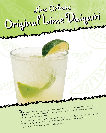# Original Lime Daiquiri Original Lime Daiquiri New Orleans New Orleans

Then muddling limes, you should be able to get a good 1 to 1 1/2 tablespoons of juice to make this drink properly. If your limes seem a bit dry, use another slice or two. Be careful not to muddle too drink properly. If you much, as the juice will become bitter. The drink properly. If your limes seed<br>much, as the juice will become bitter.<br>Daiquiris traditionally are served on the rocks, but Bar Chef Lu serves her Daiquiris at the Swizzle Stick with<br>Daiquiris traditionally are serv much, as the juice will become bitter.<br>Daiquiris traditionally are served on the rocks, but Bar Chef Lu serves her Daiquiris at the Sw<br>crushed ice, giving them an almost frozen effect. But, heaven forbid, not made in a ble - From *In The Land of Cocktails* by Ti Adelaide Martin and Lally Brennan.